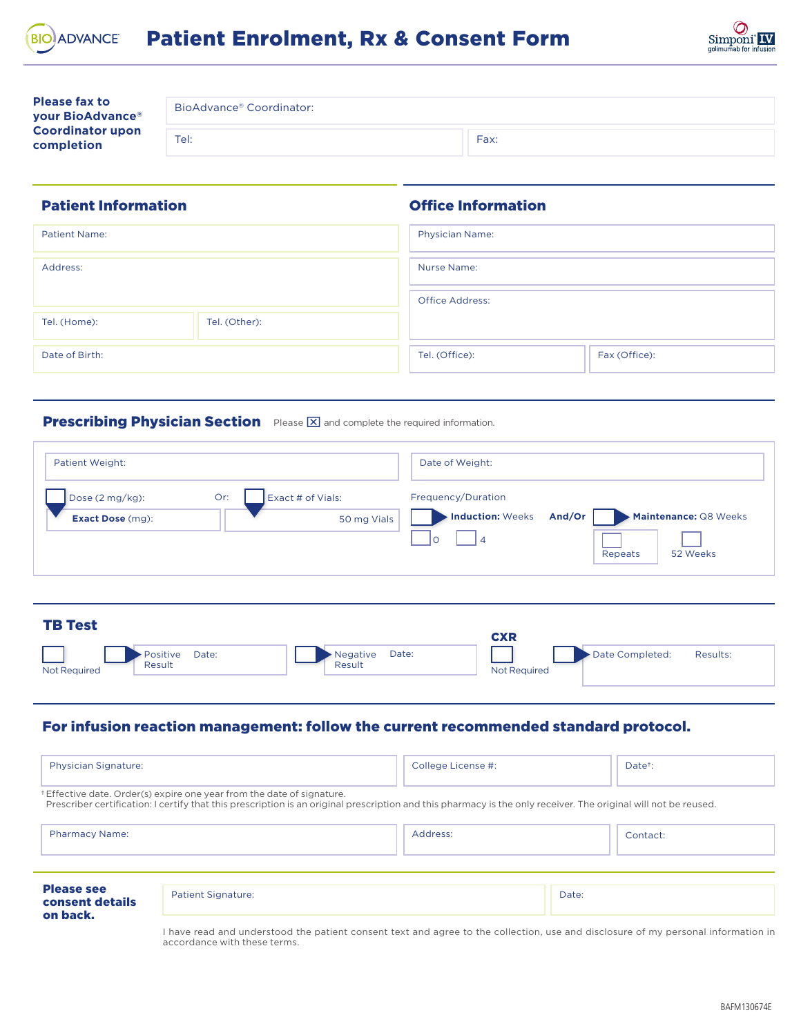



| <b>Please fax to</b><br>your BioAdvance®<br><b>Coordinator upon</b><br>completion | BioAdvance® Coordinator: |      |  |
|-----------------------------------------------------------------------------------|--------------------------|------|--|
|                                                                                   | Tel:                     | Fax: |  |

Office Information

## Patient Information

Result

| <b>Patient Name:</b> |               | <b>Physician Name:</b> |               |  |
|----------------------|---------------|------------------------|---------------|--|
|                      |               |                        |               |  |
| Address:             |               | Nurse Name:            |               |  |
|                      |               |                        |               |  |
|                      |               | <b>Office Address:</b> |               |  |
|                      |               |                        |               |  |
| Tel. (Home):         | Tel. (Other): |                        |               |  |
|                      |               |                        |               |  |
| Date of Birth:       |               | Tel. (Office):         | Fax (Office): |  |
|                      |               |                        |               |  |

## Prescribing Physician Section Please **X** and complete the required information.

| Exact # of Vials:<br>Dose (2 mg/kg):<br>Or:<br>Frequency/Duration<br><b>Induction: Weeks</b><br>Maintenance: Q8 Weeks<br>And/Or<br>50 mg Vials<br>Exact Dose (mg):<br>١o<br>52 Weeks<br>Repeats |  |
|-------------------------------------------------------------------------------------------------------------------------------------------------------------------------------------------------|--|
| <b>TB Test</b><br><b>CXR</b>                                                                                                                                                                    |  |

## For infusion reaction management: follow the current recommended standard protocol.

Result

Not Required Result Result Result Result Result Not Required

| <b>Physician Signature:</b>                                                                                                                                                                                                              |                           | College License #: |       | Date <sup>+</sup> : |  |  |  |
|------------------------------------------------------------------------------------------------------------------------------------------------------------------------------------------------------------------------------------------|---------------------------|--------------------|-------|---------------------|--|--|--|
| *Effective date. Order(s) expire one year from the date of signature.<br>Prescriber certification: I certify that this prescription is an original prescription and this pharmacy is the only receiver. The original will not be reused. |                           |                    |       |                     |  |  |  |
| <b>Pharmacy Name:</b>                                                                                                                                                                                                                    |                           | Address:           |       | Contact:            |  |  |  |
| <b>Please see</b><br>consent details<br>on back.                                                                                                                                                                                         | <b>Patient Signature:</b> |                    | Date: |                     |  |  |  |

I have read and understood the patient consent text and agree to the collection, use and disclosure of my personal information in accordance with these terms.